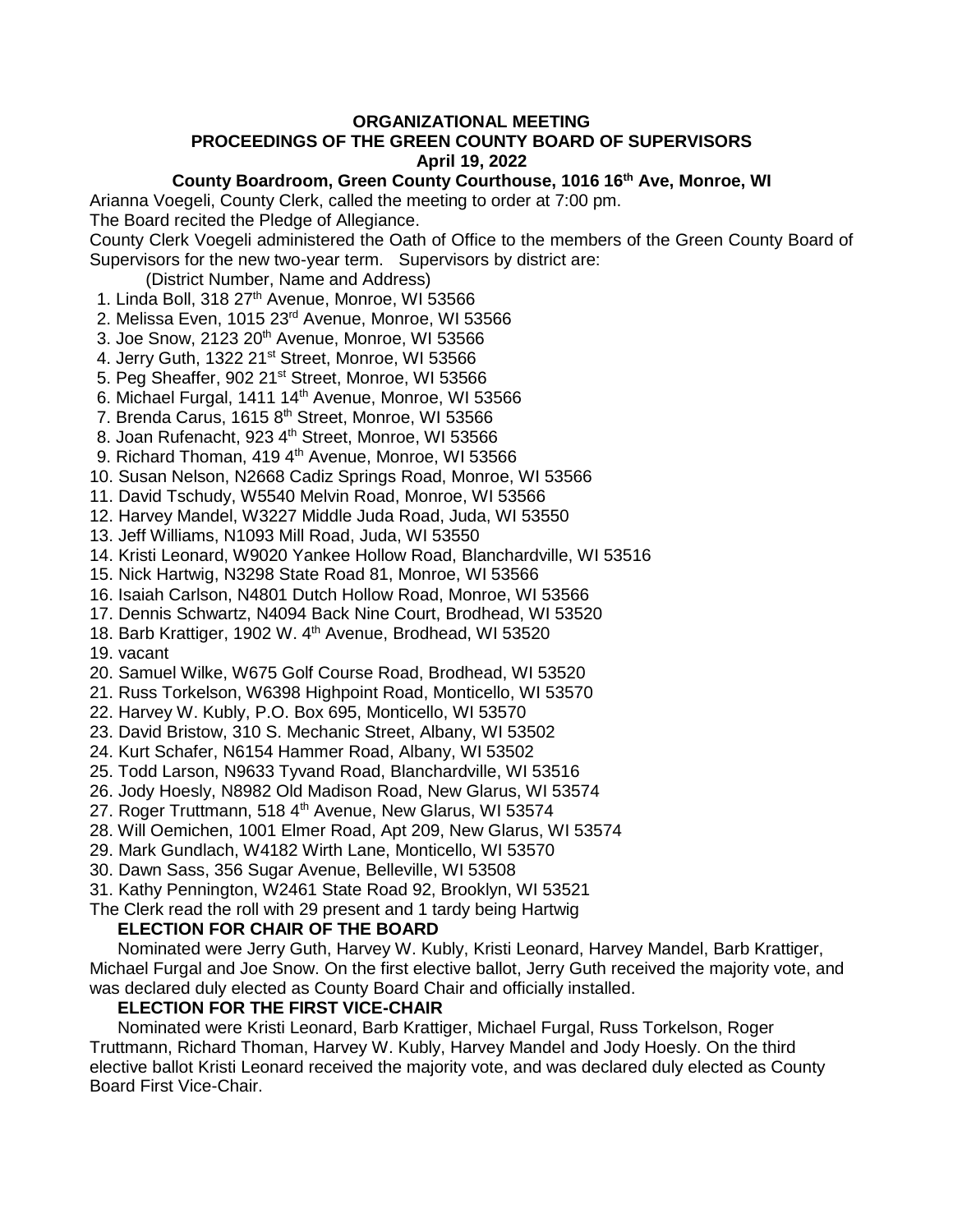# **ORGANIZATIONAL MEETING**

# **PROCEEDINGS OF THE GREEN COUNTY BOARD OF SUPERVISORS April 19, 2022**

# **County Boardroom, Green County Courthouse, 1016 16th Ave, Monroe, WI**

Arianna Voegeli, County Clerk, called the meeting to order at 7:00 pm.

The Board recited the Pledge of Allegiance.

County Clerk Voegeli administered the Oath of Office to the members of the Green County Board of Supervisors for the new two-year term. Supervisors by district are:

(District Number, Name and Address)

1. Linda Boll, 318 27<sup>th</sup> Avenue, Monroe, WI 53566

2. Melissa Even, 1015 23rd Avenue, Monroe, WI 53566

3. Joe Snow, 2123 20<sup>th</sup> Avenue, Monroe, WI 53566

4. Jerry Guth, 1322 21<sup>st</sup> Street, Monroe, WI 53566

5. Peg Sheaffer, 902 21<sup>st</sup> Street, Monroe, WI 53566

6. Michael Furgal, 1411  $14<sup>th</sup>$  Avenue, Monroe, WI 53566

7. Brenda Carus, 1615 8<sup>th</sup> Street, Monroe, WI 53566

8. Joan Rufenacht, 923 4<sup>th</sup> Street, Monroe, WI 53566

9. Richard Thoman, 419 4<sup>th</sup> Avenue, Monroe, WI 53566

10. Susan Nelson, N2668 Cadiz Springs Road, Monroe, WI 53566

11. David Tschudy, W5540 Melvin Road, Monroe, WI 53566

12. Harvey Mandel, W3227 Middle Juda Road, Juda, WI 53550

13. Jeff Williams, N1093 Mill Road, Juda, WI 53550

14. Kristi Leonard, W9020 Yankee Hollow Road, Blanchardville, WI 53516

15. Nick Hartwig, N3298 State Road 81, Monroe, WI 53566

16. Isaiah Carlson, N4801 Dutch Hollow Road, Monroe, WI 53566

17. Dennis Schwartz, N4094 Back Nine Court, Brodhead, WI 53520

18. Barb Krattiger, 1902 W. 4<sup>th</sup> Avenue, Brodhead, WI 53520

19. vacant

20. Samuel Wilke, W675 Golf Course Road, Brodhead, WI 53520

21. Russ Torkelson, W6398 Highpoint Road, Monticello, WI 53570

22. Harvey W. Kubly, P.O. Box 695, Monticello, WI 53570

23. David Bristow, 310 S. Mechanic Street, Albany, WI 53502

24. Kurt Schafer, N6154 Hammer Road, Albany, WI 53502

25. Todd Larson, N9633 Tyvand Road, Blanchardville, WI 53516

26. Jody Hoesly, N8982 Old Madison Road, New Glarus, WI 53574

27. Roger Truttmann, 518 4<sup>th</sup> Avenue, New Glarus, WI 53574

28. Will Oemichen, 1001 Elmer Road, Apt 209, New Glarus, WI 53574

29. Mark Gundlach, W4182 Wirth Lane, Monticello, WI 53570

30. Dawn Sass, 356 Sugar Avenue, Belleville, WI 53508

31. Kathy Pennington, W2461 State Road 92, Brooklyn, WI 53521

The Clerk read the roll with 29 present and 1 tardy being Hartwig

# **ELECTION FOR CHAIR OF THE BOARD**

Nominated were Jerry Guth, Harvey W. Kubly, Kristi Leonard, Harvey Mandel, Barb Krattiger, Michael Furgal and Joe Snow. On the first elective ballot, Jerry Guth received the majority vote, and was declared duly elected as County Board Chair and officially installed.

# **ELECTION FOR THE FIRST VICE-CHAIR**

Nominated were Kristi Leonard, Barb Krattiger, Michael Furgal, Russ Torkelson, Roger Truttmann, Richard Thoman, Harvey W. Kubly, Harvey Mandel and Jody Hoesly. On the third elective ballot Kristi Leonard received the majority vote, and was declared duly elected as County Board First Vice-Chair.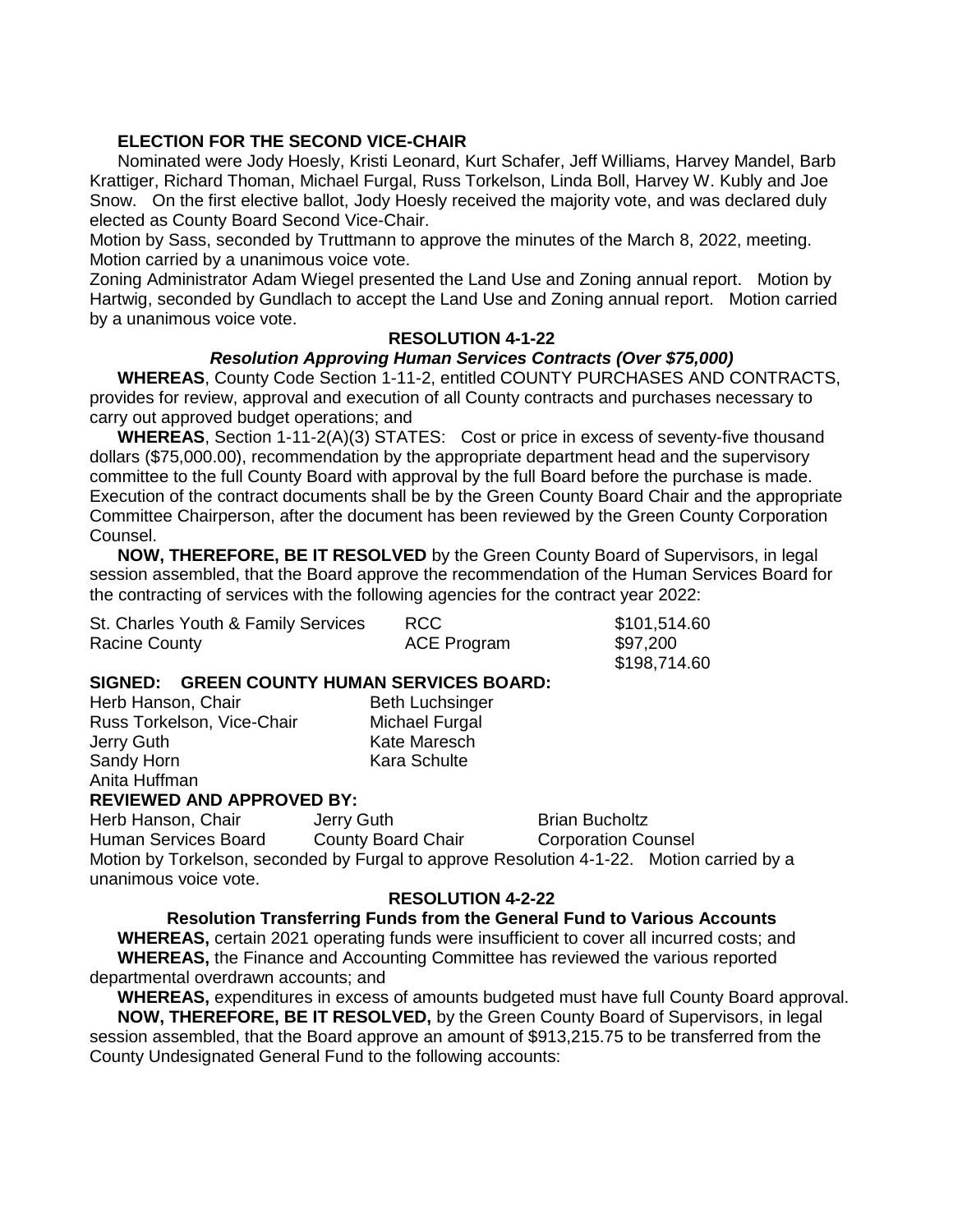# **ELECTION FOR THE SECOND VICE-CHAIR**

Nominated were Jody Hoesly, Kristi Leonard, Kurt Schafer, Jeff Williams, Harvey Mandel, Barb Krattiger, Richard Thoman, Michael Furgal, Russ Torkelson, Linda Boll, Harvey W. Kubly and Joe Snow. On the first elective ballot, Jody Hoesly received the majority vote, and was declared duly elected as County Board Second Vice-Chair.

Motion by Sass, seconded by Truttmann to approve the minutes of the March 8, 2022, meeting. Motion carried by a unanimous voice vote.

Zoning Administrator Adam Wiegel presented the Land Use and Zoning annual report. Motion by Hartwig, seconded by Gundlach to accept the Land Use and Zoning annual report. Motion carried by a unanimous voice vote.

# **RESOLUTION 4-1-22**

# *Resolution Approving Human Services Contracts (Over \$75,000)*

**WHEREAS**, County Code Section 1-11-2, entitled COUNTY PURCHASES AND CONTRACTS, provides for review, approval and execution of all County contracts and purchases necessary to carry out approved budget operations; and

**WHEREAS**, Section 1-11-2(A)(3) STATES: Cost or price in excess of seventy-five thousand dollars (\$75,000.00), recommendation by the appropriate department head and the supervisory committee to the full County Board with approval by the full Board before the purchase is made. Execution of the contract documents shall be by the Green County Board Chair and the appropriate Committee Chairperson, after the document has been reviewed by the Green County Corporation Counsel.

**NOW, THEREFORE, BE IT RESOLVED** by the Green County Board of Supervisors, in legal session assembled, that the Board approve the recommendation of the Human Services Board for the contracting of services with the following agencies for the contract year 2022:

| St. Charles Youth & Family Services | <b>RCC</b>         | \$101,514.60 |
|-------------------------------------|--------------------|--------------|
| <b>Racine County</b>                | <b>ACE Program</b> | \$97,200     |
|                                     |                    | \$198.714.60 |

#### **SIGNED: GREEN COUNTY HUMAN SERVICES BOARD:**

| Herb Hanson, Chair         | <b>Beth Luchsinger</b> |
|----------------------------|------------------------|
| Russ Torkelson, Vice-Chair | Michael Furgal         |
| Jerry Guth                 | <b>Kate Maresch</b>    |
| Sandy Horn                 | Kara Schulte           |
| Anita Huffman              |                        |

#### **REVIEWED AND APPROVED BY:**

Herb Hanson, Chair **Jerry Guth** Brian Bucholtz

Human Services Board County Board Chair Corporation Counsel Motion by Torkelson, seconded by Furgal to approve Resolution 4-1-22. Motion carried by a unanimous voice vote.

#### **RESOLUTION 4-2-22**

#### **Resolution Transferring Funds from the General Fund to Various Accounts**

**WHEREAS,** certain 2021 operating funds were insufficient to cover all incurred costs; and **WHEREAS,** the Finance and Accounting Committee has reviewed the various reported departmental overdrawn accounts; and

**WHEREAS,** expenditures in excess of amounts budgeted must have full County Board approval. **NOW, THEREFORE, BE IT RESOLVED,** by the Green County Board of Supervisors, in legal session assembled, that the Board approve an amount of \$913,215.75 to be transferred from the County Undesignated General Fund to the following accounts: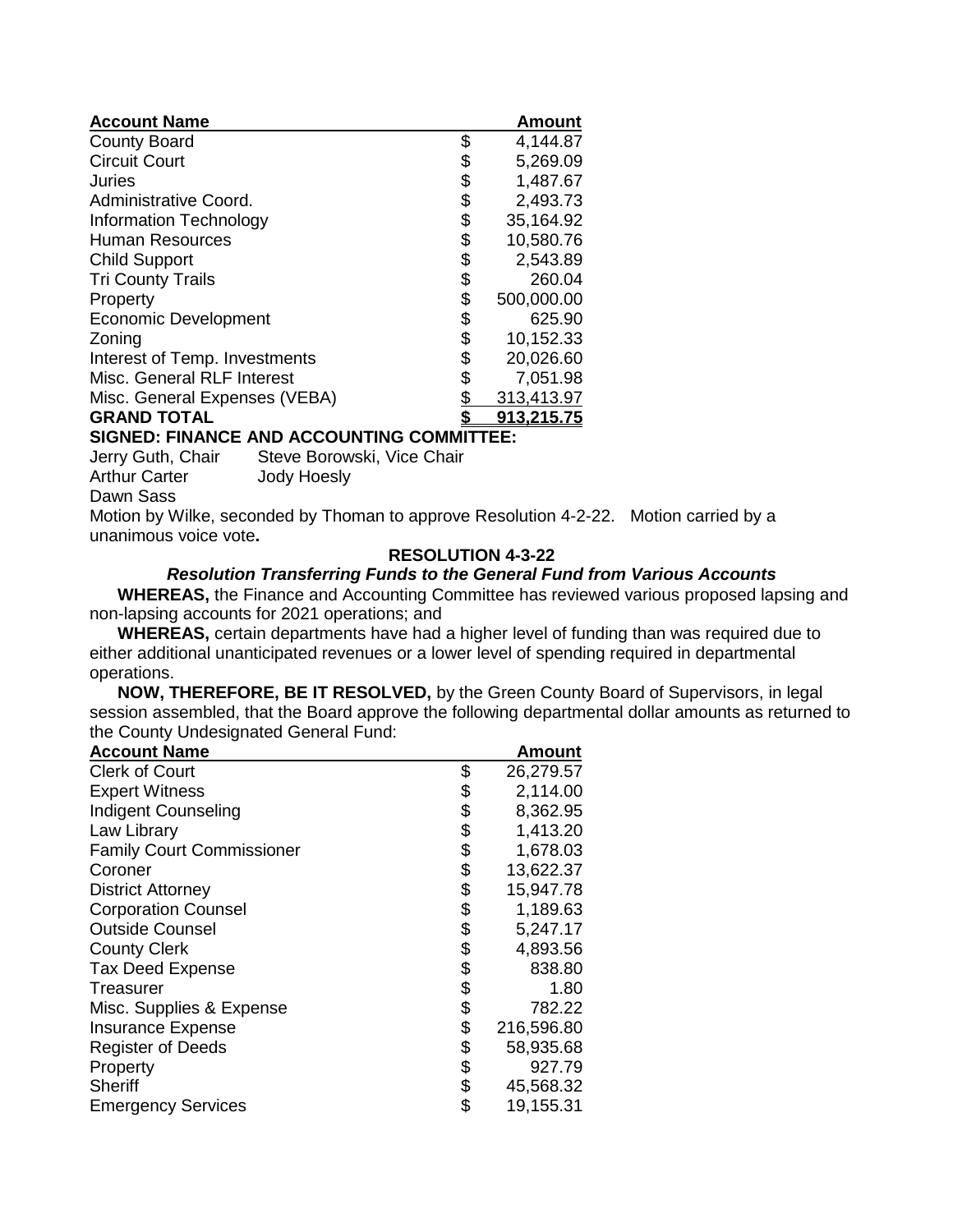| <b>Account Name</b>                       |      | <b>Amount</b> |  |  |  |
|-------------------------------------------|------|---------------|--|--|--|
| <b>County Board</b>                       | \$   | 4,144.87      |  |  |  |
| <b>Circuit Court</b>                      | \$   | 5,269.09      |  |  |  |
| Juries                                    | \$   | 1,487.67      |  |  |  |
| Administrative Coord.                     | \$   | 2,493.73      |  |  |  |
| Information Technology                    | \$   | 35,164.92     |  |  |  |
| <b>Human Resources</b>                    | \$   | 10,580.76     |  |  |  |
| <b>Child Support</b>                      |      | 2,543.89      |  |  |  |
| <b>Tri County Trails</b>                  | \$\$ | 260.04        |  |  |  |
| Property                                  | \$   | 500,000.00    |  |  |  |
| <b>Economic Development</b>               | \$   | 625.90        |  |  |  |
| Zoning                                    | \$   | 10,152.33     |  |  |  |
| Interest of Temp. Investments             | \$   | 20,026.60     |  |  |  |
| Misc. General RLF Interest                | \$   | 7,051.98      |  |  |  |
| Misc. General Expenses (VEBA)             | \$   | 313,413.97    |  |  |  |
| <b>GRAND TOTAL</b>                        |      | 913.215.75    |  |  |  |
| SIGNED: FINANCE AND ACCOUNTING COMMITTEE: |      |               |  |  |  |

**SIGNED: FINANCE AND ACCOUNTING COMMITTEE:** 

Jerry Guth, Chair Steve Borowski, Vice Chair Arthur Carter **Jody Hoesly** 

Dawn Sass

Motion by Wilke, seconded by Thoman to approve Resolution 4-2-22. Motion carried by a unanimous voice vote**.**

# **RESOLUTION 4-3-22**

# *Resolution Transferring Funds to the General Fund from Various Accounts*

**WHEREAS,** the Finance and Accounting Committee has reviewed various proposed lapsing and non-lapsing accounts for 2021 operations; and

**WHEREAS,** certain departments have had a higher level of funding than was required due to either additional unanticipated revenues or a lower level of spending required in departmental operations.

**NOW, THEREFORE, BE IT RESOLVED,** by the Green County Board of Supervisors, in legal session assembled, that the Board approve the following departmental dollar amounts as returned to the County Undesignated General Fund:

| <b>Account Name</b>              |          | <b>Amount</b> |
|----------------------------------|----------|---------------|
| <b>Clerk of Court</b>            | \$       | 26,279.57     |
| <b>Expert Witness</b>            | \$       | 2,114.00      |
| <b>Indigent Counseling</b>       | \$       | 8,362.95      |
| Law Library                      | \$       | 1,413.20      |
| <b>Family Court Commissioner</b> | \$       | 1,678.03      |
| Coroner                          |          | 13,622.37     |
| <b>District Attorney</b>         | \$       | 15,947.78     |
| <b>Corporation Counsel</b>       | \$\$\$\$ | 1,189.63      |
| <b>Outside Counsel</b>           |          | 5,247.17      |
| <b>County Clerk</b>              |          | 4,893.56      |
| <b>Tax Deed Expense</b>          |          | 838.80        |
| Treasurer                        | \$       | 1.80          |
| Misc. Supplies & Expense         | \$       | 782.22        |
| <b>Insurance Expense</b>         |          | 216,596.80    |
| <b>Register of Deeds</b>         |          | 58,935.68     |
| Property                         | \$\$     | 927.79        |
| <b>Sheriff</b>                   | \$       | 45,568.32     |
| <b>Emergency Services</b>        | \$       | 19,155.31     |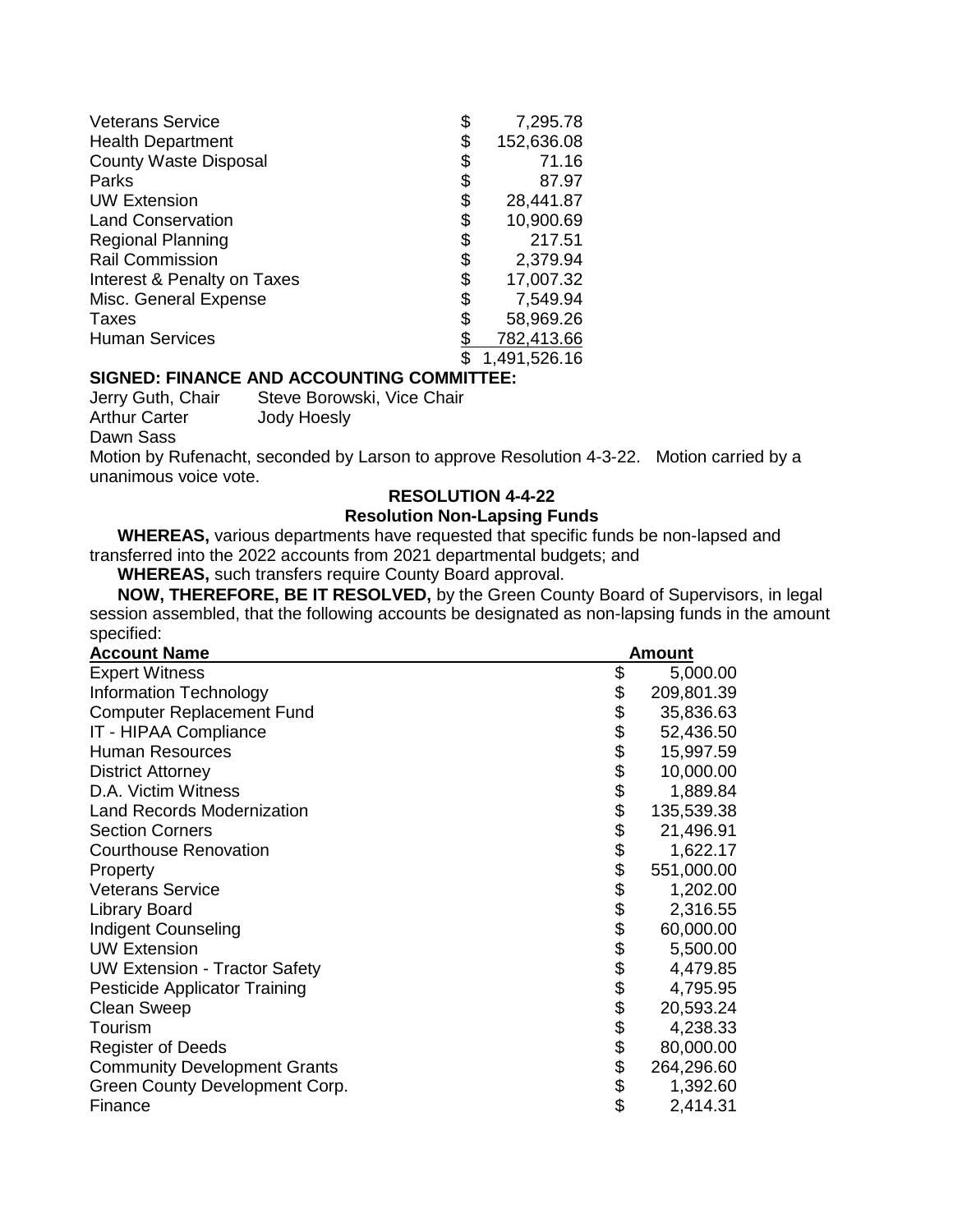| <b>Veterans Service</b>      | \$<br>7,295.78   |
|------------------------------|------------------|
| <b>Health Department</b>     | \$<br>152,636.08 |
| <b>County Waste Disposal</b> | \$<br>71.16      |
| Parks                        | \$<br>87.97      |
| <b>UW Extension</b>          | \$<br>28,441.87  |
| <b>Land Conservation</b>     | \$<br>10,900.69  |
| <b>Regional Planning</b>     | \$<br>217.51     |
| <b>Rail Commission</b>       | \$<br>2,379.94   |
| Interest & Penalty on Taxes  | \$<br>17,007.32  |
| Misc. General Expense        | \$<br>7,549.94   |
| Taxes                        | \$<br>58,969.26  |
| <b>Human Services</b>        | 782,413.66       |
|                              | 1,491,526.16     |

# **SIGNED: FINANCE AND ACCOUNTING COMMITTEE:**

Arthur Carter **Jody Hoesly** 

Jerry Guth, Chair Steve Borowski, Vice Chair

Dawn Sass

Motion by Rufenacht, seconded by Larson to approve Resolution 4-3-22. Motion carried by a unanimous voice vote.

## **RESOLUTION 4-4-22**

# **Resolution Non-Lapsing Funds**

**WHEREAS,** various departments have requested that specific funds be non-lapsed and transferred into the 2022 accounts from 2021 departmental budgets; and

**WHEREAS,** such transfers require County Board approval.

**NOW, THEREFORE, BE IT RESOLVED,** by the Green County Board of Supervisors, in legal session assembled, that the following accounts be designated as non-lapsing funds in the amount specified:

| <b>Account Name</b>                  |            | <b>Amount</b> |
|--------------------------------------|------------|---------------|
| <b>Expert Witness</b>                | \$         | 5,000.00      |
| Information Technology               | \$         | 209,801.39    |
| <b>Computer Replacement Fund</b>     | \$\$       | 35,836.63     |
| IT - HIPAA Compliance                |            | 52,436.50     |
| <b>Human Resources</b>               |            | 15,997.59     |
| <b>District Attorney</b>             | \$\$       | 10,000.00     |
| D.A. Victim Witness                  |            | 1,889.84      |
| <b>Land Records Modernization</b>    |            | 135,539.38    |
| <b>Section Corners</b>               | \$         | 21,496.91     |
| <b>Courthouse Renovation</b>         | \$\$\$\$\$ | 1,622.17      |
| Property                             |            | 551,000.00    |
| <b>Veterans Service</b>              |            | 1,202.00      |
| <b>Library Board</b>                 |            | 2,316.55      |
| <b>Indigent Counseling</b>           |            | 60,000.00     |
| <b>UW Extension</b>                  | \$         | 5,500.00      |
| <b>UW Extension - Tractor Safety</b> | \$         | 4,479.85      |
| Pesticide Applicator Training        | \$\$\$\$\$ | 4,795.95      |
| <b>Clean Sweep</b>                   |            | 20,593.24     |
| Tourism                              |            | 4,238.33      |
| <b>Register of Deeds</b>             |            | 80,000.00     |
| <b>Community Development Grants</b>  |            | 264,296.60    |
| Green County Development Corp.       | \$         | 1,392.60      |
| Finance                              | \$         | 2,414.31      |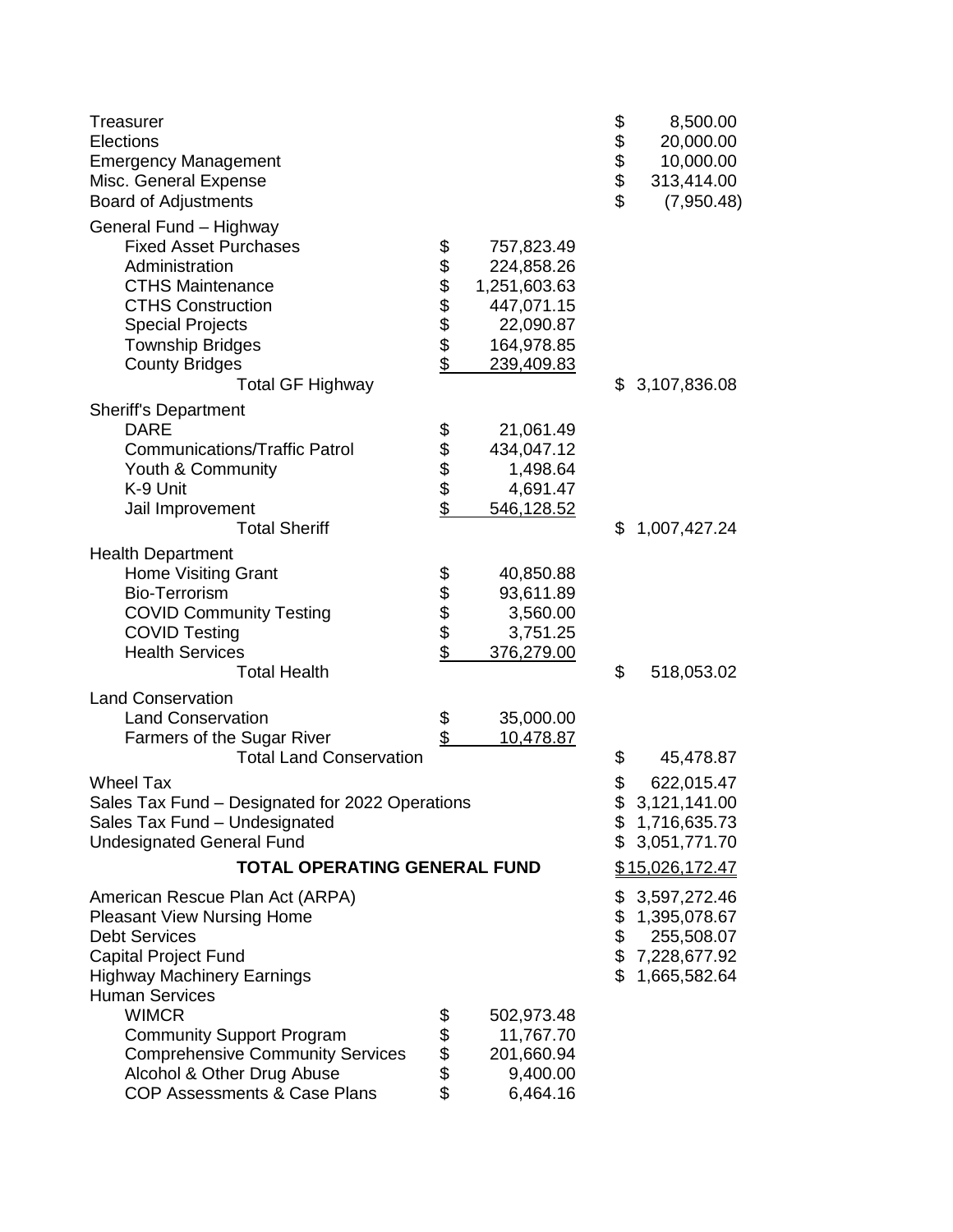| Treasurer<br>Elections<br><b>Emergency Management</b><br>Misc. General Expense<br><b>Board of Adjustments</b> |              |              | 88888 | 8,500.00<br>20,000.00<br>10,000.00<br>313,414.00<br>(7,950.48) |
|---------------------------------------------------------------------------------------------------------------|--------------|--------------|-------|----------------------------------------------------------------|
| General Fund - Highway                                                                                        |              |              |       |                                                                |
| <b>Fixed Asset Purchases</b>                                                                                  |              | 757,823.49   |       |                                                                |
| Administration                                                                                                | 888888       | 224,858.26   |       |                                                                |
| <b>CTHS Maintenance</b>                                                                                       |              | 1,251,603.63 |       |                                                                |
| <b>CTHS Construction</b>                                                                                      |              | 447,071.15   |       |                                                                |
| <b>Special Projects</b>                                                                                       |              | 22,090.87    |       |                                                                |
| <b>Township Bridges</b>                                                                                       |              | 164,978.85   |       |                                                                |
| <b>County Bridges</b>                                                                                         |              | 239,409.83   |       |                                                                |
| <b>Total GF Highway</b>                                                                                       |              |              | \$    | 3,107,836.08                                                   |
| <b>Sheriff's Department</b>                                                                                   |              |              |       |                                                                |
| <b>DARE</b>                                                                                                   |              | 21,061.49    |       |                                                                |
| <b>Communications/Traffic Patrol</b>                                                                          |              | 434,047.12   |       |                                                                |
| Youth & Community                                                                                             | 88888        | 1,498.64     |       |                                                                |
| K-9 Unit                                                                                                      |              | 4,691.47     |       |                                                                |
| Jail Improvement                                                                                              |              | 546,128.52   |       |                                                                |
| <b>Total Sheriff</b>                                                                                          |              |              | \$    | 1,007,427.24                                                   |
| <b>Health Department</b>                                                                                      |              |              |       |                                                                |
| <b>Home Visiting Grant</b>                                                                                    |              | 40,850.88    |       |                                                                |
| <b>Bio-Terrorism</b>                                                                                          |              | 93,611.89    |       |                                                                |
| <b>COVID Community Testing</b>                                                                                | <b>88888</b> | 3,560.00     |       |                                                                |
| <b>COVID Testing</b>                                                                                          |              | 3,751.25     |       |                                                                |
| <b>Health Services</b>                                                                                        |              | 376,279.00   |       |                                                                |
| <b>Total Health</b>                                                                                           |              |              | \$    | 518,053.02                                                     |
| <b>Land Conservation</b>                                                                                      |              |              |       |                                                                |
| <b>Land Conservation</b>                                                                                      | \$<br>\$     | 35,000.00    |       |                                                                |
| Farmers of the Sugar River                                                                                    |              | 10,478.87    |       |                                                                |
| <b>Total Land Conservation</b>                                                                                |              |              | \$    | 45,478.87                                                      |
| <b>Wheel Tax</b>                                                                                              |              |              | \$    | 622,015.47                                                     |
| Sales Tax Fund - Designated for 2022 Operations                                                               |              |              | \$    | 3,121,141.00                                                   |
| Sales Tax Fund - Undesignated                                                                                 |              |              | \$    | 1,716,635.73                                                   |
| <b>Undesignated General Fund</b>                                                                              |              |              | \$    | 3,051,771.70                                                   |
| <b>TOTAL OPERATING GENERAL FUND</b>                                                                           |              |              |       | \$15,026,172.47                                                |
| American Rescue Plan Act (ARPA)                                                                               |              |              | \$    | 3,597,272.46                                                   |
| <b>Pleasant View Nursing Home</b>                                                                             |              |              | \$    | 1,395,078.67                                                   |
| <b>Debt Services</b>                                                                                          |              |              | \$    | 255,508.07                                                     |
| <b>Capital Project Fund</b>                                                                                   |              |              | \$    | 7,228,677.92                                                   |
| <b>Highway Machinery Earnings</b>                                                                             |              |              | \$    | 1,665,582.64                                                   |
| <b>Human Services</b>                                                                                         |              |              |       |                                                                |
| <b>WIMCR</b>                                                                                                  | \$           | 502,973.48   |       |                                                                |
| <b>Community Support Program</b>                                                                              |              | 11,767.70    |       |                                                                |
| <b>Comprehensive Community Services</b>                                                                       | \$\$\$\$     | 201,660.94   |       |                                                                |
| Alcohol & Other Drug Abuse                                                                                    |              | 9,400.00     |       |                                                                |
| <b>COP Assessments &amp; Case Plans</b>                                                                       |              | 6,464.16     |       |                                                                |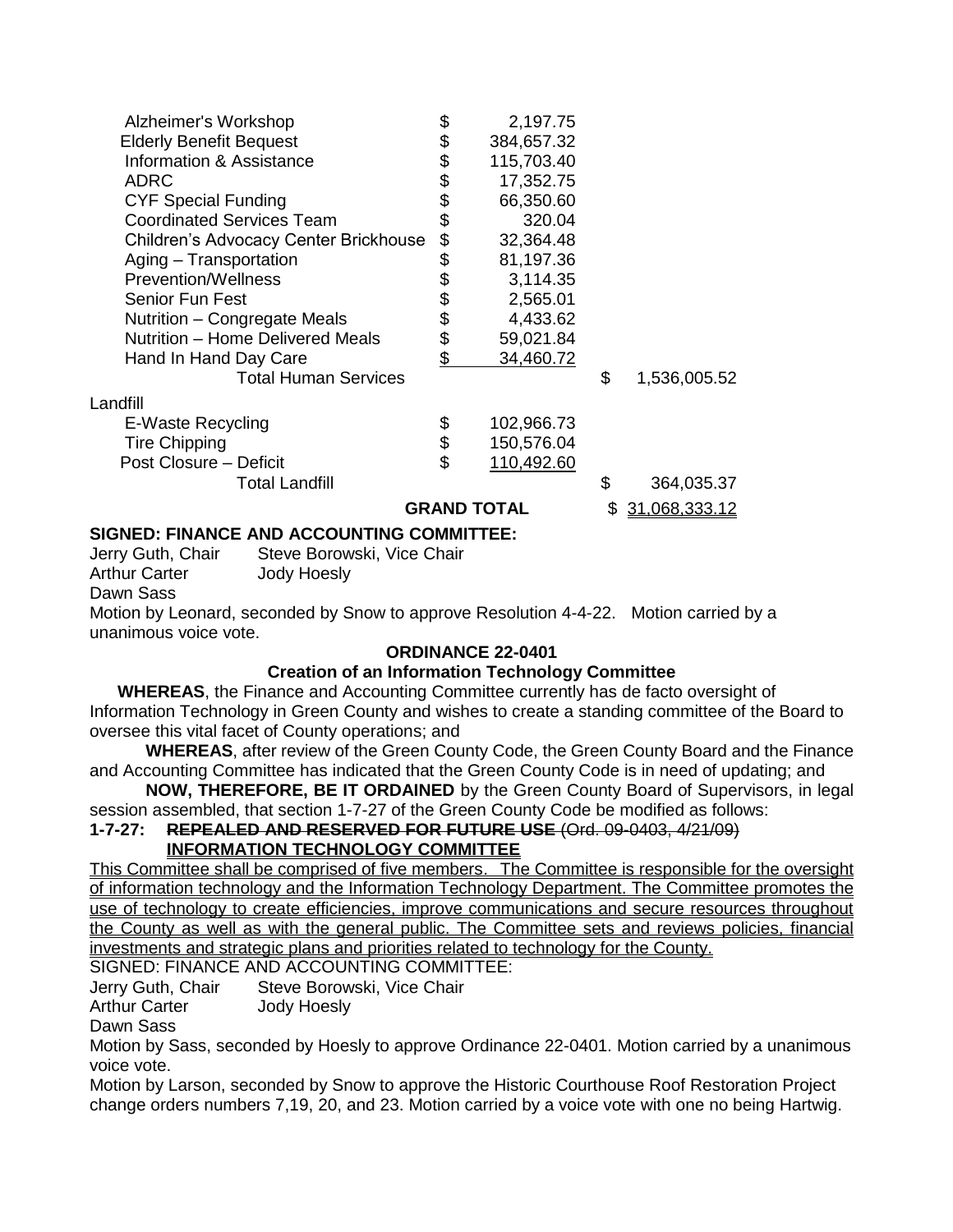| Alzheimer's Workshop                  | \$       | 2,197.75   |    |               |
|---------------------------------------|----------|------------|----|---------------|
| <b>Elderly Benefit Bequest</b>        |          | 384,657.32 |    |               |
| Information & Assistance              | \$<br>\$ | 115,703.40 |    |               |
| ADRC                                  |          | 17,352.75  |    |               |
| <b>CYF Special Funding</b>            | \$\$     | 66,350.60  |    |               |
| <b>Coordinated Services Team</b>      |          | 320.04     |    |               |
| Children's Advocacy Center Brickhouse | \$       | 32,364.48  |    |               |
| Aging - Transportation                | \$       | 81,197.36  |    |               |
| <b>Prevention/Wellness</b>            | \$       | 3,114.35   |    |               |
| Senior Fun Fest                       |          | 2,565.01   |    |               |
| Nutrition - Congregate Meals          | \$\$     | 4,433.62   |    |               |
| Nutrition - Home Delivered Meals      |          | 59,021.84  |    |               |
| Hand In Hand Day Care                 | \$       | 34,460.72  |    |               |
| <b>Total Human Services</b>           |          |            | \$ | 1,536,005.52  |
| Landfill                              |          |            |    |               |
| E-Waste Recycling                     |          | 102,966.73 |    |               |
| <b>Tire Chipping</b>                  | \$       | 150,576.04 |    |               |
| Post Closure - Deficit                | \$       | 110,492.60 |    |               |
| <b>Total Landfill</b>                 |          |            | \$ | 364,035.37    |
| <b>GRAND TOTAL</b>                    |          |            |    | 31,068,333.12 |

# **SIGNED: FINANCE AND ACCOUNTING COMMITTEE:**

Jerry Guth, Chair Steve Borowski, Vice Chair Arthur Carter **Jody Hoesly** Dawn Sass Motion by Leonard, seconded by Snow to approve Resolution 4-4-22. Motion carried by a unanimous voice vote.

# **ORDINANCE 22-0401**

# **Creation of an Information Technology Committee**

**WHEREAS**, the Finance and Accounting Committee currently has de facto oversight of Information Technology in Green County and wishes to create a standing committee of the Board to oversee this vital facet of County operations; and

**WHEREAS**, after review of the Green County Code, the Green County Board and the Finance and Accounting Committee has indicated that the Green County Code is in need of updating; and

**NOW, THEREFORE, BE IT ORDAINED** by the Green County Board of Supervisors, in legal session assembled, that section 1-7-27 of the Green County Code be modified as follows:

**1-7-27: REPEALED AND RESERVED FOR FUTURE USE** (Ord. 09-0403, 4/21/09) **INFORMATION TECHNOLOGY COMMITTEE**

This Committee shall be comprised of five members. The Committee is responsible for the oversight of information technology and the Information Technology Department. The Committee promotes the use of technology to create efficiencies, improve communications and secure resources throughout the County as well as with the general public. The Committee sets and reviews policies, financial investments and strategic plans and priorities related to technology for the County.

SIGNED: FINANCE AND ACCOUNTING COMMITTEE:

Jerry Guth, Chair Steve Borowski, Vice Chair

Arthur Carter **Jody Hoesly** 

Dawn Sass

Motion by Sass, seconded by Hoesly to approve Ordinance 22-0401. Motion carried by a unanimous voice vote.

Motion by Larson, seconded by Snow to approve the Historic Courthouse Roof Restoration Project change orders numbers 7,19, 20, and 23. Motion carried by a voice vote with one no being Hartwig.